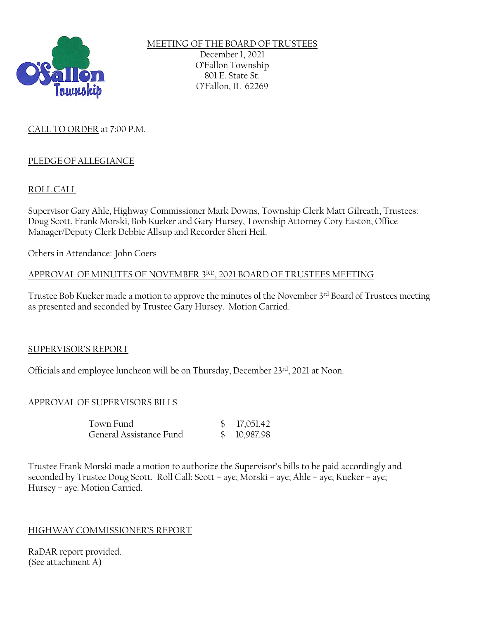

MEETING OF THE BOARD OF TRUSTEES December 1, 2021 O'Fallon Township 801 E. State St. O'Fallon, IL 62269

# CALL TO ORDER at 7:00 P.M.

# PLEDGE OF ALLEGIANCE

# ROLL CALL

Supervisor Gary Ahle, Highway Commissioner Mark Downs, Township Clerk Matt Gilreath, Trustees: Doug Scott, Frank Morski, Bob Kueker and Gary Hursey, Township Attorney Cory Easton, Office Manager/Deputy Clerk Debbie Allsup and Recorder Sheri Heil.

Others in Attendance: John Coers

### APPROVAL OF MINUTES OF NOVEMBER 3RD, 2021 BOARD OF TRUSTEES MEETING

Trustee Bob Kueker made a motion to approve the minutes of the November 3rd Board of Trustees meeting as presented and seconded by Trustee Gary Hursey. Motion Carried.

## SUPERVISOR'S REPORT

Officials and employee luncheon will be on Thursday, December 23rd, 2021 at Noon.

## APPROVAL OF SUPERVISORS BILLS

| Town Fund               | \$17,051.42 |
|-------------------------|-------------|
| General Assistance Fund | \$10,987.98 |

Trustee Frank Morski made a motion to authorize the Supervisor's bills to be paid accordingly and seconded by Trustee Doug Scott. Roll Call: Scott – aye; Morski – aye; Ahle – aye; Kueker – aye; Hursey – aye. Motion Carried.

## HIGHWAY COMMISSIONER'S REPORT

RaDAR report provided. (See attachment A)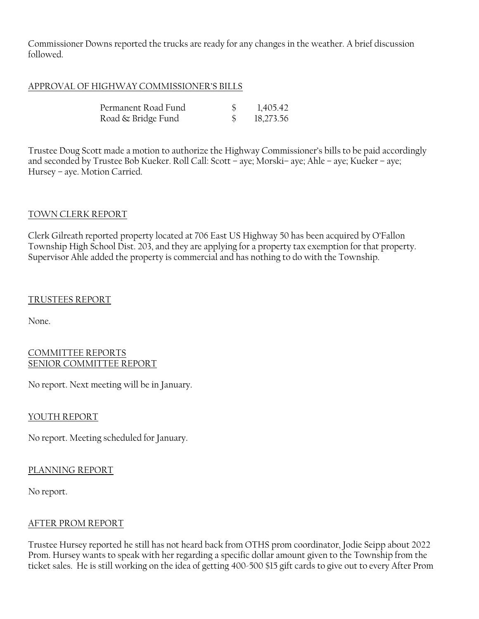Commissioner Downs reported the trucks are ready for any changes in the weather. A brief discussion followed.

### APPROVAL OF HIGHWAY COMMISSIONER'S BILLS

| Permanent Road Fund | 1,405.42  |
|---------------------|-----------|
| Road & Bridge Fund  | 18,273.56 |

Trustee Doug Scott made a motion to authorize the Highway Commissioner's bills to be paid accordingly and seconded by Trustee Bob Kueker. Roll Call: Scott – aye; Morski– aye; Ahle – aye; Kueker – aye; Hursey – aye. Motion Carried.

### TOWN CLERK REPORT

Clerk Gilreath reported property located at 706 East US Highway 50 has been acquired by O'Fallon Township High School Dist. 203, and they are applying for a property tax exemption for that property. Supervisor Ahle added the property is commercial and has nothing to do with the Township.

### TRUSTEES REPORT

None.

#### COMMITTEE REPORTS SENIOR COMMITTEE REPORT

No report. Next meeting will be in January.

## YOUTH REPORT

No report. Meeting scheduled for January.

## PLANNING REPORT

No report.

## AFTER PROM REPORT

Trustee Hursey reported he still has not heard back from OTHS prom coordinator, Jodie Seipp about 2022 Prom. Hursey wants to speak with her regarding a specific dollar amount given to the Township from the ticket sales. He is still working on the idea of getting 400-500 \$15 gift cards to give out to every After Prom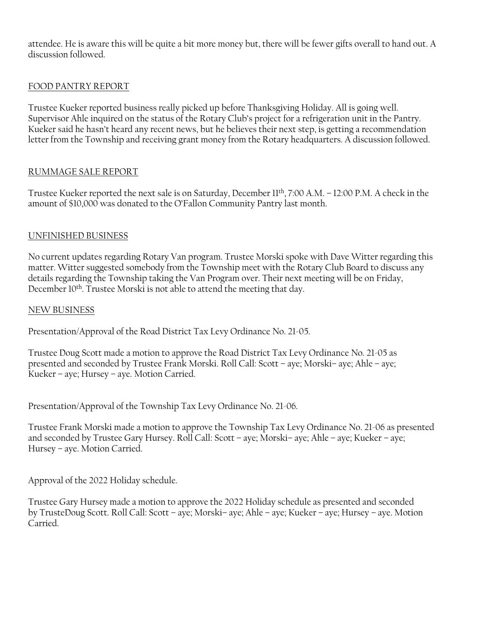attendee. He is aware this will be quite a bit more money but, there will be fewer gifts overall to hand out. A discussion followed.

# FOOD PANTRY REPORT

Trustee Kueker reported business really picked up before Thanksgiving Holiday. All is going well. Supervisor Ahle inquired on the status of the Rotary Club's project for a refrigeration unit in the Pantry. Kueker said he hasn't heard any recent news, but he believes their next step, is getting a recommendation letter from the Township and receiving grant money from the Rotary headquarters. A discussion followed.

# RUMMAGE SALE REPORT

Trustee Kueker reported the next sale is on Saturday, December 11th , 7:00 A.M. – 12:00 P.M. A check in the amount of \$10,000 was donated to the O'Fallon Community Pantry last month.

# UNFINISHED BUSINESS

No current updates regarding Rotary Van program. Trustee Morski spoke with Dave Witter regarding this matter. Witter suggested somebody from the Township meet with the Rotary Club Board to discuss any details regarding the Township taking the Van Program over. Their next meeting will be on Friday, December 10<sup>th</sup>. Trustee Morski is not able to attend the meeting that day.

## NEW BUSINESS

Presentation/Approval of the Road District Tax Levy Ordinance No. 21-05.

Trustee Doug Scott made a motion to approve the Road District Tax Levy Ordinance No. 21-05 as presented and seconded by Trustee Frank Morski. Roll Call: Scott – aye; Morski– aye; Ahle – aye; Kueker – aye; Hursey – aye. Motion Carried.

Presentation/Approval of the Township Tax Levy Ordinance No. 21-06.

Trustee Frank Morski made a motion to approve the Township Tax Levy Ordinance No. 21-06 as presented and seconded by Trustee Gary Hursey. Roll Call: Scott – aye; Morski– aye; Ahle – aye; Kueker – aye; Hursey – aye. Motion Carried.

Approval of the 2022 Holiday schedule.

Trustee Gary Hursey made a motion to approve the 2022 Holiday schedule as presented and seconded by TrusteDoug Scott. Roll Call: Scott – aye; Morski– aye; Ahle – aye; Kueker – aye; Hursey – aye. Motion Carried.